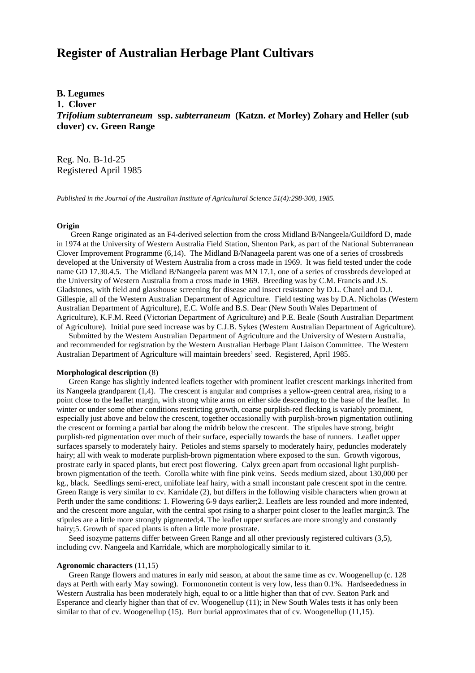# **Register of Australian Herbage Plant Cultivars**

# **B. Legumes**

**1. Clover**

*Trifolium subterraneum* **ssp.** *subterraneum* **(Katzn.** *et* **Morley) Zohary and Heller (sub clover) cv. Green Range**

Reg. No. B-1d-25 Registered April 1985

*Published in the Journal of the Australian Institute of Agricultural Science 51(4):298-300, 1985.*

## **Origin**

 Green Range originated as an F4-derived selection from the cross Midland B/Nangeela/Guildford D, made in 1974 at the University of Western Australia Field Station, Shenton Park, as part of the National Subterranean Clover Improvement Programme (6,14). The Midland B/Nanageela parent was one of a series of crossbreds developed at the University of Western Australia from a cross made in 1969. It was field tested under the code name GD 17.30.4.5. The Midland B/Nangeela parent was MN 17.1, one of a series of crossbreds developed at the University of Western Australia from a cross made in 1969. Breeding was by C.M. Francis and J.S. Gladstones, with field and glasshouse screening for disease and insect resistance by D.L. Chatel and D.J. Gillespie, all of the Western Australian Department of Agriculture. Field testing was by D.A. Nicholas (Western Australian Department of Agriculture), E.C. Wolfe and B.S. Dear (New South Wales Department of Agriculture), K.F.M. Reed (Victorian Department of Agriculture) and P.E. Beale (South Australian Department of Agriculture). Initial pure seed increase was by C.J.B. Sykes (Western Australian Department of Agriculture).

 Submitted by the Western Australian Department of Agriculture and the University of Western Australia, and recommended for registration by the Western Australian Herbage Plant Liaison Committee. The Western Australian Department of Agriculture will maintain breeders' seed. Registered, April 1985.

## **Morphological description** (8)

 Green Range has slightly indented leaflets together with prominent leaflet crescent markings inherited from its Nangeela grandparent (1,4). The crescent is angular and comprises a yellow-green central area, rising to a point close to the leaflet margin, with strong white arms on either side descending to the base of the leaflet. In winter or under some other conditions restricting growth, coarse purplish-red flecking is variably prominent, especially just above and below the crescent, together occasionally with purplish-brown pigmentation outlining the crescent or forming a partial bar along the midrib below the crescent. The stipules have strong, bright purplish-red pigmentation over much of their surface, especially towards the base of runners. Leaflet upper surfaces sparsely to moderately hairy. Petioles and stems sparsely to moderately hairy, peduncles moderately hairy; all with weak to moderate purplish-brown pigmentation where exposed to the sun. Growth vigorous, prostrate early in spaced plants, but erect post flowering. Calyx green apart from occasional light purplishbrown pigmentation of the teeth. Corolla white with fine pink veins. Seeds medium sized, about 130,000 per kg., black. Seedlings semi-erect, unifoliate leaf hairy, with a small inconstant pale crescent spot in the centre. Green Range is very similar to cv. Karridale (2), but differs in the following visible characters when grown at Perth under the same conditions: 1. Flowering 6-9 days earlier;2. Leaflets are less rounded and more indented, and the crescent more angular, with the central spot rising to a sharper point closer to the leaflet margin;3. The stipules are a little more strongly pigmented;4. The leaflet upper surfaces are more strongly and constantly hairy;5. Growth of spaced plants is often a little more prostrate.

 Seed isozyme patterns differ between Green Range and all other previously registered cultivars (3,5), including cvv. Nangeela and Karridale, which are morphologically similar to it.

#### **Agronomic characters** (11,15)

 Green Range flowers and matures in early mid season, at about the same time as cv. Woogenellup (c. 128 days at Perth with early May sowing). Formononetin content is very low, less than 0.1%. Hardseededness in Western Australia has been moderately high, equal to or a little higher than that of cvv. Seaton Park and Esperance and clearly higher than that of cv. Woogenellup (11); in New South Wales tests it has only been similar to that of cv. Woogenellup (15). Burr burial approximates that of cv. Woogenellup (11,15).